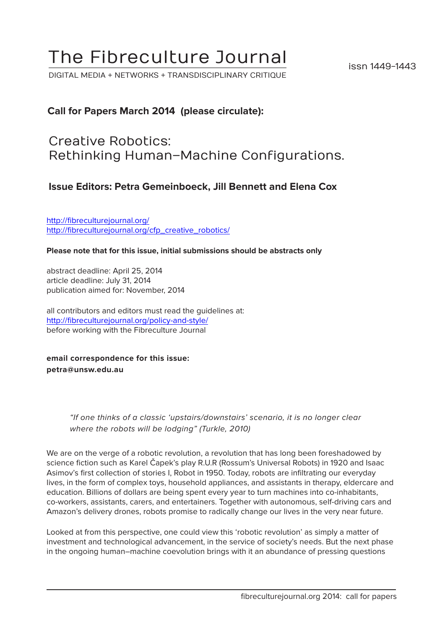# The Fibreculture Journal

DIGITAL MEDIA + NETWORKS + TRANSDISCIPLINARY CRITIQUE

### **Call for Papers March 2014 (please circulate):**

## Creative Robotics: Rethinking Human–Machine Configurations.

### **Issue Editors: Petra Gemeinboeck, Jill Bennett and Elena Cox**

[http://fibreculturejournal.org/](http://fibreculturejournal.org/ http://fibreculturejournal.org/cfp_creative_robotics/) [http://fibreculturejournal.org/cfp\\_creative\\_robotics/](http://fibreculturejournal.org/ http://fibreculturejournal.org/cfp_creative_robotics/)

#### **Please note that for this issue, initial submissions should be abstracts only**

abstract deadline: April 25, 2014 article deadline: July 31, 2014 publication aimed for: November, 2014

all contributors and editors must read the guidelines at: <http://fibreculturejournal.org/policy-and-style/> before working with the Fibreculture Journal

**email correspondence for this issue: petra@unsw.edu.au**

> "If one thinks of a classic 'upstairs/downstairs' scenario, it is no longer clear where the robots will be lodging" (Turkle, 2010)

We are on the verge of a robotic revolution, a revolution that has long been foreshadowed by science fiction such as Karel Čapek's play R.U.R (Rossum's Universal Robots) in 1920 and Isaac Asimov's first collection of stories I, Robot in 1950. Today, robots are infiltrating our everyday lives, in the form of complex toys, household appliances, and assistants in therapy, eldercare and education. Billions of dollars are being spent every year to turn machines into co-inhabitants, co-workers, assistants, carers, and entertainers. Together with autonomous, self-driving cars and Amazon's delivery drones, robots promise to radically change our lives in the very near future.

Looked at from this perspective, one could view this 'robotic revolution' as simply a matter of investment and technological advancement, in the service of society's needs. But the next phase in the ongoing human–machine coevolution brings with it an abundance of pressing questions